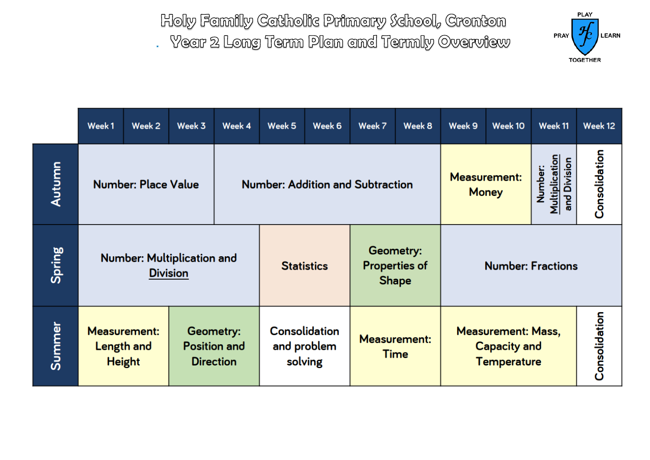

|        | Week1                                                                                                             | Week 2                            | Week 3          | Week 4                                         | Week 5                             | Week 6            | Week 7                                                                 | Week 8                              | Week 9                   | Week 10                                   | Week 11       | Week 12 |
|--------|-------------------------------------------------------------------------------------------------------------------|-----------------------------------|-----------------|------------------------------------------------|------------------------------------|-------------------|------------------------------------------------------------------------|-------------------------------------|--------------------------|-------------------------------------------|---------------|---------|
| Autumn | <b>Number: Place Value</b>                                                                                        |                                   |                 | <b>Number: Addition and Subtraction</b>        |                                    |                   |                                                                        | <b>Measurement:</b><br><b>Money</b> |                          | Multiplication<br>and Division<br>Number: | Consolidation |         |
| Spring |                                                                                                                   | <b>Number: Multiplication and</b> | <b>Division</b> |                                                |                                    | <b>Statistics</b> | Geometry:<br><b>Shape</b>                                              | <b>Properties of</b>                | <b>Number: Fractions</b> |                                           |               |         |
| Summer | <b>Measurement:</b><br>Geometry:<br><b>Position and</b><br><b>Length and</b><br><b>Direction</b><br><b>Height</b> |                                   |                 | <b>Consolidation</b><br>and problem<br>solving | <b>Measurement:</b><br><b>Time</b> |                   | <b>Measurement: Mass,</b><br><b>Capacity and</b><br><b>Temperature</b> |                                     |                          | Consolidation                             |               |         |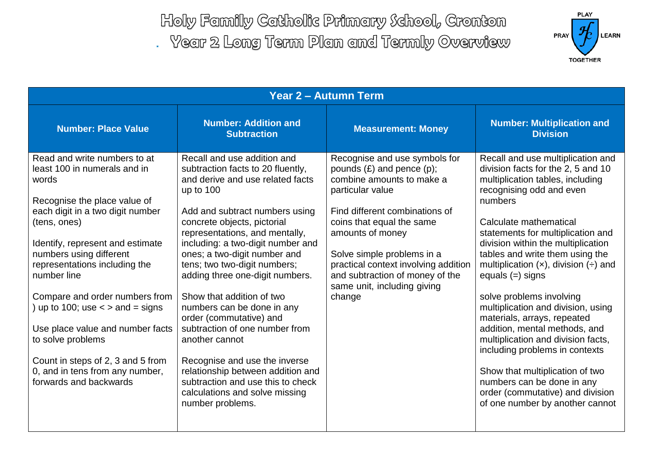

| <b>Year 2 - Autumn Term</b>                                                                                                                                                                                                                                                                                                                                                                                                                                                                                 |                                                                                                                                                                                                                                                                                                                                                                                                                                                                                                                                                                                                                                                                           |                                                                                                                                                                                                                                                                                                                                                       |                                                                                                                                                                                                                                                                                                                                                                                                                                                                                                                                                                                                                                                                                                                 |  |  |  |
|-------------------------------------------------------------------------------------------------------------------------------------------------------------------------------------------------------------------------------------------------------------------------------------------------------------------------------------------------------------------------------------------------------------------------------------------------------------------------------------------------------------|---------------------------------------------------------------------------------------------------------------------------------------------------------------------------------------------------------------------------------------------------------------------------------------------------------------------------------------------------------------------------------------------------------------------------------------------------------------------------------------------------------------------------------------------------------------------------------------------------------------------------------------------------------------------------|-------------------------------------------------------------------------------------------------------------------------------------------------------------------------------------------------------------------------------------------------------------------------------------------------------------------------------------------------------|-----------------------------------------------------------------------------------------------------------------------------------------------------------------------------------------------------------------------------------------------------------------------------------------------------------------------------------------------------------------------------------------------------------------------------------------------------------------------------------------------------------------------------------------------------------------------------------------------------------------------------------------------------------------------------------------------------------------|--|--|--|
| <b>Number: Place Value</b>                                                                                                                                                                                                                                                                                                                                                                                                                                                                                  | <b>Number: Addition and</b><br><b>Subtraction</b>                                                                                                                                                                                                                                                                                                                                                                                                                                                                                                                                                                                                                         | <b>Measurement: Money</b>                                                                                                                                                                                                                                                                                                                             | <b>Number: Multiplication and</b><br><b>Division</b>                                                                                                                                                                                                                                                                                                                                                                                                                                                                                                                                                                                                                                                            |  |  |  |
| Read and write numbers to at<br>least 100 in numerals and in<br>words<br>Recognise the place value of<br>each digit in a two digit number<br>(tens, ones)<br>Identify, represent and estimate<br>numbers using different<br>representations including the<br>number line<br>Compare and order numbers from<br>up to 100; use $\lt$ > and = signs<br>Use place value and number facts<br>to solve problems<br>Count in steps of 2, 3 and 5 from<br>0, and in tens from any number,<br>forwards and backwards | Recall and use addition and<br>subtraction facts to 20 fluently,<br>and derive and use related facts<br>up to $100$<br>Add and subtract numbers using<br>concrete objects, pictorial<br>representations, and mentally,<br>including: a two-digit number and<br>ones; a two-digit number and<br>tens; two two-digit numbers;<br>adding three one-digit numbers.<br>Show that addition of two<br>numbers can be done in any<br>order (commutative) and<br>subtraction of one number from<br>another cannot<br>Recognise and use the inverse<br>relationship between addition and<br>subtraction and use this to check<br>calculations and solve missing<br>number problems. | Recognise and use symbols for<br>pounds $(E)$ and pence $(p)$ ;<br>combine amounts to make a<br>particular value<br>Find different combinations of<br>coins that equal the same<br>amounts of money<br>Solve simple problems in a<br>practical context involving addition<br>and subtraction of money of the<br>same unit, including giving<br>change | Recall and use multiplication and<br>division facts for the 2, 5 and 10<br>multiplication tables, including<br>recognising odd and even<br>numbers<br>Calculate mathematical<br>statements for multiplication and<br>division within the multiplication<br>tables and write them using the<br>multiplication $(x)$ , division $(+)$ and<br>equals $(=)$ signs<br>solve problems involving<br>multiplication and division, using<br>materials, arrays, repeated<br>addition, mental methods, and<br>multiplication and division facts,<br>including problems in contexts<br>Show that multiplication of two<br>numbers can be done in any<br>order (commutative) and division<br>of one number by another cannot |  |  |  |
|                                                                                                                                                                                                                                                                                                                                                                                                                                                                                                             |                                                                                                                                                                                                                                                                                                                                                                                                                                                                                                                                                                                                                                                                           |                                                                                                                                                                                                                                                                                                                                                       |                                                                                                                                                                                                                                                                                                                                                                                                                                                                                                                                                                                                                                                                                                                 |  |  |  |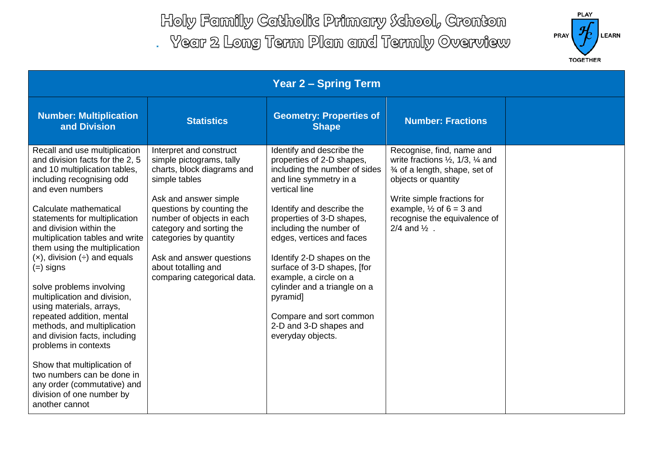

| <b>Year 2 - Spring Term</b>                                                                                                                                                                                                                                                                                                                                                                                                                                                                                                                                                                                                                                                                                                            |                                                                                                                                                                                                                                                                                                                               |                                                                                                                                                                                                                                                                                                                                                                                                                                                                   |                                                                                                                                                                                                                                                                                |  |  |  |
|----------------------------------------------------------------------------------------------------------------------------------------------------------------------------------------------------------------------------------------------------------------------------------------------------------------------------------------------------------------------------------------------------------------------------------------------------------------------------------------------------------------------------------------------------------------------------------------------------------------------------------------------------------------------------------------------------------------------------------------|-------------------------------------------------------------------------------------------------------------------------------------------------------------------------------------------------------------------------------------------------------------------------------------------------------------------------------|-------------------------------------------------------------------------------------------------------------------------------------------------------------------------------------------------------------------------------------------------------------------------------------------------------------------------------------------------------------------------------------------------------------------------------------------------------------------|--------------------------------------------------------------------------------------------------------------------------------------------------------------------------------------------------------------------------------------------------------------------------------|--|--|--|
| <b>Number: Multiplication</b><br>and Division                                                                                                                                                                                                                                                                                                                                                                                                                                                                                                                                                                                                                                                                                          | <b>Statistics</b>                                                                                                                                                                                                                                                                                                             | <b>Geometry: Properties of</b><br><b>Shape</b>                                                                                                                                                                                                                                                                                                                                                                                                                    | <b>Number: Fractions</b>                                                                                                                                                                                                                                                       |  |  |  |
| Recall and use multiplication<br>and division facts for the 2, 5<br>and 10 multiplication tables,<br>including recognising odd<br>and even numbers<br>Calculate mathematical<br>statements for multiplication<br>and division within the<br>multiplication tables and write<br>them using the multiplication<br>$(x)$ , division $\left(\div\right)$ and equals<br>$(=)$ signs<br>solve problems involving<br>multiplication and division,<br>using materials, arrays,<br>repeated addition, mental<br>methods, and multiplication<br>and division facts, including<br>problems in contexts<br>Show that multiplication of<br>two numbers can be done in<br>any order (commutative) and<br>division of one number by<br>another cannot | Interpret and construct<br>simple pictograms, tally<br>charts, block diagrams and<br>simple tables<br>Ask and answer simple<br>questions by counting the<br>number of objects in each<br>category and sorting the<br>categories by quantity<br>Ask and answer questions<br>about totalling and<br>comparing categorical data. | Identify and describe the<br>properties of 2-D shapes,<br>including the number of sides<br>and line symmetry in a<br>vertical line<br>Identify and describe the<br>properties of 3-D shapes,<br>including the number of<br>edges, vertices and faces<br>Identify 2-D shapes on the<br>surface of 3-D shapes, [for<br>example, a circle on a<br>cylinder and a triangle on a<br>pyramid]<br>Compare and sort common<br>2-D and 3-D shapes and<br>everyday objects. | Recognise, find, name and<br>write fractions $\frac{1}{2}$ , 1/3, $\frac{1}{4}$ and<br>3⁄4 of a length, shape, set of<br>objects or quantity<br>Write simple fractions for<br>example, $\frac{1}{2}$ of 6 = 3 and<br>recognise the equivalence of<br>$2/4$ and $\frac{1}{2}$ . |  |  |  |